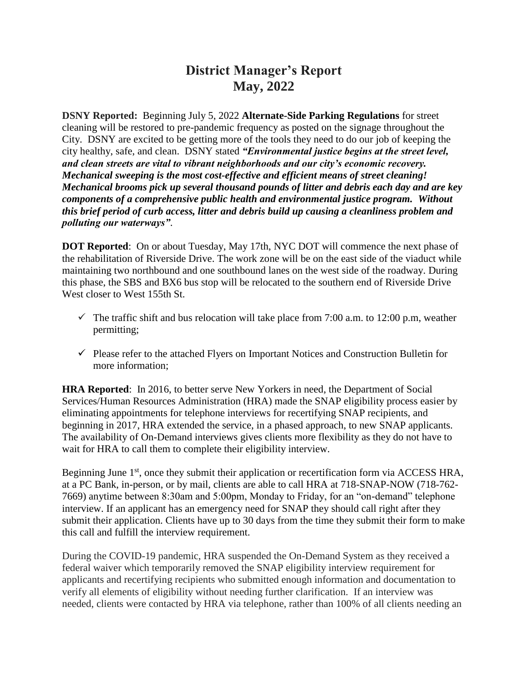# **District Manager's Report May, 2022**

**DSNY Reported:** Beginning July 5, 2022 **Alternate-Side Parking Regulations** for street cleaning will be restored to pre-pandemic frequency as posted on the signage throughout the City. DSNY are excited to be getting more of the tools they need to do our job of keeping the city healthy, safe, and clean. DSNY stated *"Environmental justice begins at the street level, and clean streets are vital to vibrant neighborhoods and our city's economic recovery. Mechanical sweeping is the most cost-effective and efficient means of street cleaning! Mechanical brooms pick up several thousand pounds of litter and debris each day and are key components of a comprehensive public health and environmental justice program. Without this brief period of curb access, litter and debris build up causing a cleanliness problem and polluting our waterways"*.

**DOT Reported**: On or about Tuesday, May 17th, NYC DOT will commence the next phase of the rehabilitation of Riverside Drive. The work zone will be on the east side of the viaduct while maintaining two northbound and one southbound lanes on the west side of the roadway. During this phase, the SBS and BX6 bus stop will be relocated to the southern end of Riverside Drive West closer to West 155th St.

- $\checkmark$  The traffic shift and bus relocation will take place from 7:00 a.m. to 12:00 p.m, weather permitting;
- $\checkmark$  Please refer to the attached Flyers on Important Notices and Construction Bulletin for more information;

**HRA Reported**: In 2016, to better serve New Yorkers in need, the Department of Social Services/Human Resources Administration (HRA) made the SNAP eligibility process easier by eliminating appointments for telephone interviews for recertifying SNAP recipients, and beginning in 2017, HRA extended the service, in a phased approach, to new SNAP applicants. The availability of On-Demand interviews gives clients more flexibility as they do not have to wait for HRA to call them to complete their eligibility interview.

Beginning June 1<sup>st</sup>, once they submit their application or recertification form via ACCESS HRA, at a PC Bank, in-person, or by mail, clients are able to call HRA at 718-SNAP-NOW (718-762- 7669) anytime between 8:30am and 5:00pm, Monday to Friday, for an "on-demand" telephone interview. If an applicant has an emergency need for SNAP they should call right after they submit their application. Clients have up to 30 days from the time they submit their form to make this call and fulfill the interview requirement.

During the COVID-19 pandemic, HRA suspended the On-Demand System as they received a federal waiver which temporarily removed the SNAP eligibility interview requirement for applicants and recertifying recipients who submitted enough information and documentation to verify all elements of eligibility without needing further clarification. If an interview was needed, clients were contacted by HRA via telephone, rather than 100% of all clients needing an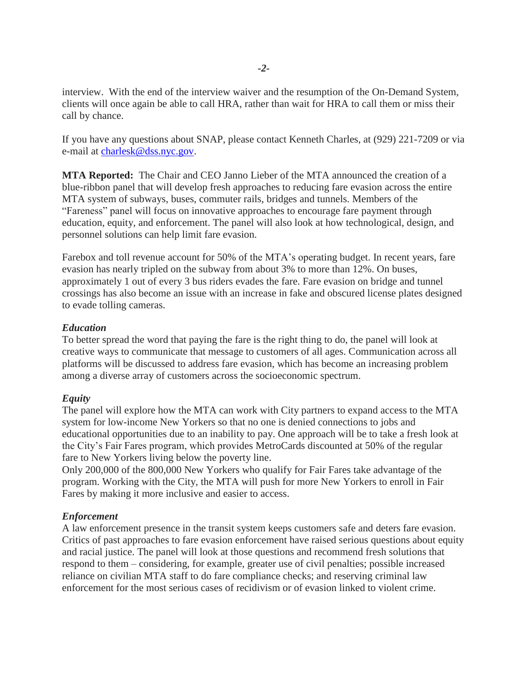interview. With the end of the interview waiver and the resumption of the On-Demand System, clients will once again be able to call HRA, rather than wait for HRA to call them or miss their call by chance.

If you have any questions about SNAP, please contact Kenneth Charles, at (929) 221-7209 or via e-mail at [charlesk@dss.nyc.gov.](mailto:charlesk@dss.nyc.gov)

**MTA Reported:** The Chair and CEO Janno Lieber of the MTA announced the creation of a blue-ribbon panel that will develop fresh approaches to reducing fare evasion across the entire MTA system of subways, buses, commuter rails, bridges and tunnels. Members of the "Fareness" panel will focus on innovative approaches to encourage fare payment through education, equity, and enforcement. The panel will also look at how technological, design, and personnel solutions can help limit fare evasion.

Farebox and toll revenue account for 50% of the MTA's operating budget. In recent years, fare evasion has nearly tripled on the subway from about 3% to more than 12%. On buses, approximately 1 out of every 3 bus riders evades the fare. Fare evasion on bridge and tunnel crossings has also become an issue with an increase in fake and obscured license plates designed to evade tolling cameras.

## *Education*

To better spread the word that paying the fare is the right thing to do, the panel will look at creative ways to communicate that message to customers of all ages. Communication across all platforms will be discussed to address fare evasion, which has become an increasing problem among a diverse array of customers across the socioeconomic spectrum.

# *Equity*

The panel will explore how the MTA can work with City partners to expand access to the MTA system for low-income New Yorkers so that no one is denied connections to jobs and educational opportunities due to an inability to pay. One approach will be to take a fresh look at the City's Fair Fares program, which provides MetroCards discounted at 50% of the regular fare to New Yorkers living below the poverty line.

Only 200,000 of the 800,000 New Yorkers who qualify for Fair Fares take advantage of the program. Working with the City, the MTA will push for more New Yorkers to enroll in Fair Fares by making it more inclusive and easier to access.

# *Enforcement*

A law enforcement presence in the transit system keeps customers safe and deters fare evasion. Critics of past approaches to fare evasion enforcement have raised serious questions about equity and racial justice. The panel will look at those questions and recommend fresh solutions that respond to them – considering, for example, greater use of civil penalties; possible increased reliance on civilian MTA staff to do fare compliance checks; and reserving criminal law enforcement for the most serious cases of recidivism or of evasion linked to violent crime.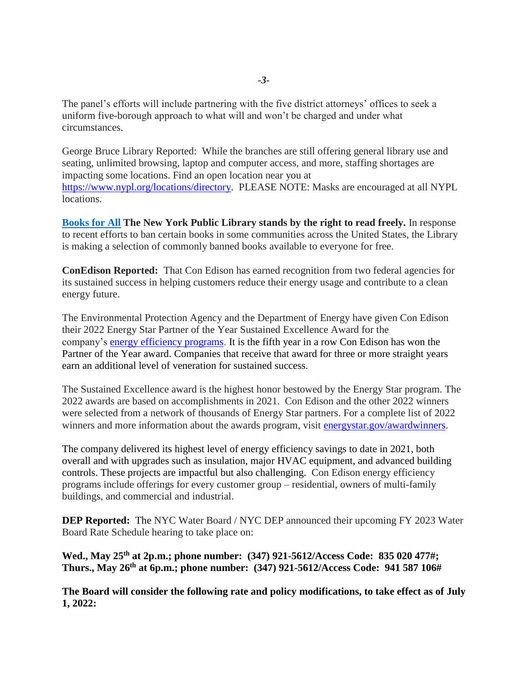The panel's efforts will include partnering with the five district attorneys' offices to seek a uniform five-borough approach to what will and won't be charged and under what circumstances.

George Bruce Library Reported: While the branches are still offering general library use and seating, unlimited browsing, laptop and computer access, and more, staffing shortages are impacting some locations. Find an open location near you at [https://www.nypl.org/locations/directory.](https://www.nypl.org/locations/directory) PLEASE NOTE: Masks are encouraged at all NYPL locations.

**[Books for All](https://gcc02.safelinks.protection.outlook.com/?url=https%3A%2F%2Fwww.nypl.org%2Fspotlight%2Fbooks-for-all&data=05%7C01%7Ceprince%40cb.nyc.gov%7C245abc6dbd1f476fea5a08da2deef81a%7C32f56fc75f814e22a95b15da66513bef%7C0%7C0%7C637872801990427911%7CUnknown%7CTWFpbGZsb3d8eyJWIjoiMC4wLjAwMDAiLCJQIjoiV2luMzIiLCJBTiI6Ik1haWwiLCJXVCI6Mn0%3D%7C3000%7C%7C%7C&sdata=vNH%2Fz9EOCWM%2BXDOCkmRMr2LH9h9A32v%2F3ofGue1KvQo%3D&reserved=0) The New York Public Library stands by the right to read freely.** In response to recent efforts to ban certain books in some communities across the United States, the Library is making a selection of commonly banned books available to everyone for free.

**ConEdison Reported:** That Con Edison has earned recognition from two federal agencies for its sustained success in helping customers reduce their energy usage and contribute to a clean energy future.

The Environmental Protection Agency and the Department of Energy have given Con Edison their 2022 Energy Star Partner of the Year Sustained Excellence Award for the company's [energy efficiency programs.](https://nam02.safelinks.protection.outlook.com/?url=https%3A%2F%2Fwww.coned.com%2Fen%2Fsave-money%2Frebates-incentives-tax-credits&data=05%7C01%7CLEVINEA%40coned.com%7Ced9181edd176433c5b1808da328585f2%7Ce9aef9b725ca4518a88133e546773136%7C0%7C0%7C637877846822871589%7CUnknown%7CTWFpbGZsb3d8eyJWIjoiMC4wLjAwMDAiLCJQIjoiV2luMzIiLCJBTiI6Ik1haWwiLCJXVCI6Mn0%3D%7C3000%7C%7C%7C&sdata=TfQkMWkg1tAeoR%2FHGfQvnWM6wFtp9rJxdj6BjtaQ9VM%3D&reserved=0) It is the fifth year in a row Con Edison has won the Partner of the Year award. Companies that receive that award for three or more straight years earn an additional level of veneration for sustained success.

The Sustained Excellence award is the highest honor bestowed by the Energy Star program. The 2022 awards are based on accomplishments in 2021. Con Edison and the other 2022 winners were selected from a network of thousands of Energy Star partners. For a complete list of 2022 winners and more information about the awards program, visit [energystar.gov/awardwinners.](https://nam02.safelinks.protection.outlook.com/?url=http%3A%2F%2Fwww.energystar.gov%2Fawardwinners&data=05%7C01%7CLEVINEA%40coned.com%7Ced9181edd176433c5b1808da328585f2%7Ce9aef9b725ca4518a88133e546773136%7C0%7C0%7C637877846822871589%7CUnknown%7CTWFpbGZsb3d8eyJWIjoiMC4wLjAwMDAiLCJQIjoiV2luMzIiLCJBTiI6Ik1haWwiLCJXVCI6Mn0%3D%7C3000%7C%7C%7C&sdata=wMZsmHepD01mnFXhfUC4eP5FdtRZt6jRsCyJ2rsYdfs%3D&reserved=0)

The company delivered its highest level of energy efficiency savings to date in 2021, both overall and with upgrades such as insulation, major HVAC equipment, and advanced building controls. These projects are impactful but also challenging. Con Edison energy efficiency programs include offerings for every customer group – residential, owners of multi-family buildings, and commercial and industrial.

**DEP Reported:** The NYC Water Board / NYC DEP announced their upcoming FY 2023 Water Board Rate Schedule hearing to take place on:

**Wed., May 25th at 2p.m.; phone number: (347) 921-5612/Access Code: 835 020 477#; Thurs., May 26th at 6p.m.; phone number: (347) 921-5612/Access Code: 941 587 106#**

**The Board will consider the following rate and policy modifications, to take effect as of July 1, 2022:**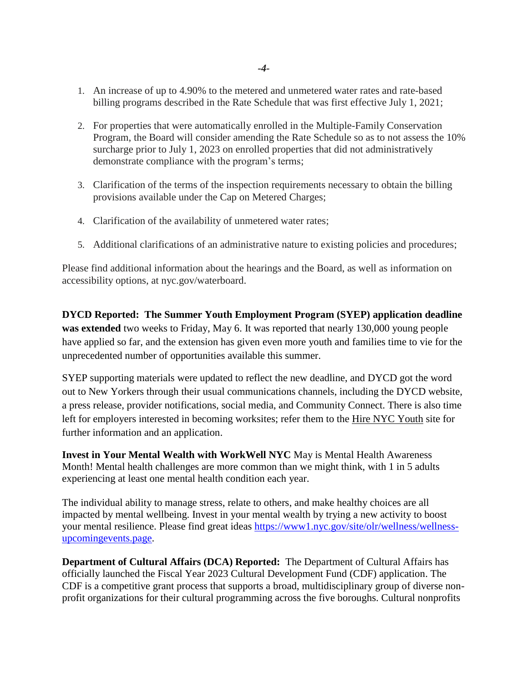- 1. An increase of up to 4.90% to the metered and unmetered water rates and rate-based billing programs described in the Rate Schedule that was first effective July 1, 2021;
- 2. For properties that were automatically enrolled in the Multiple-Family Conservation Program, the Board will consider amending the Rate Schedule so as to not assess the 10% surcharge prior to July 1, 2023 on enrolled properties that did not administratively demonstrate compliance with the program's terms;
- 3. Clarification of the terms of the inspection requirements necessary to obtain the billing provisions available under the Cap on Metered Charges;
- 4. Clarification of the availability of unmetered water rates;
- 5. Additional clarifications of an administrative nature to existing policies and procedures;

Please find additional information about the hearings and the Board, as well as information on accessibility options, at nyc.gov/waterboard.

**DYCD Reported: The Summer Youth Employment Program (SYEP) application deadline was extended** two weeks to Friday, May 6. It was reported that nearly 130,000 young people have applied so far, and the extension has given even more youth and families time to vie for the unprecedented number of opportunities available this summer.

SYEP supporting materials were updated to reflect the new deadline, and DYCD got the word out to New Yorkers through their usual communications channels, including the DYCD website, a press release, provider notifications, social media, and Community Connect. There is also time left for employers interested in becoming worksites; refer them to the [Hire NYC Youth](https://r20.rs6.net/tn.jsp?f=001WApH8GSurhNbkebXif5rLo3DjACH6tMM9h49hh0ktHCd6glMtbT1R4MyNPlLufNhPSWTP51cTEZs9ndiEsFO-QGEtwe7DcjNJL_Nq0ZoUKmebdRwpBZDwlF8LjZ497rB77EKr2oKbucOAQkrCmsG7OAvWT3bQrIgZoDeOoYbkUsWXIuUxxz86GqoFFRAw_mkaQLkAeQINoRniqp_1Qq_s6pGRWjg_Hj7ZjpoF7UgxnIxmbz7KZzBFlP47bsgo6TgaWaeZB5UZW4YkjUJH6jJlTkWxZV5J5G9DkGkzzbVe5Fi-E6JyIqMtZ-c8Cz1ZYaFV0ilHxeucC_9lIf5mLMaIXOVTnHZSXc-UWX-fvMRmoDyO8bZZmwrP0LWUhzaVr00N_ZRknJrQL9ToKQBqT_BXqicMwhMKmOtGzZQ68yNqc8AtBk-T4UrOLbqfhw_xJtNSLIkhQCwIO_syCd9XMBJMWGRXZYZB5pSc4mqq4C3-7oEjPK97HnwahpNbe1BL1MRuanSbSg-tGRB0pKKITNJpIEcH2Qsd7MKD7w21futLj1sVA_GBDrnzeoP8mpl-hqEMAOqgK2gKBrK_vKgzk28xfcZYmiQf8-uiwMCiFzoTjq-cJEFkWqXJJKcv1__hdj7kbJ3JyFl7nZjI_CE-OH_3LLGdx1xOTNW3NW1tQWY5ipwKiRlG_bbsX2HEtT45MXvhZpVo1Va1LhN0WsvE2D2Hg==&c=4KVdzfIWnYTUR0vZc7WsfUbVRJRBn6hos1JsqiLOYcPTH4pOuUIVAg==&ch=rnKhilf67iNhJ4wNliYbhmLKthE_U5QAnQO3MqQ1qk-A8NyABmQ6gw==) site for further information and an application.

**Invest in Your Mental Wealth with WorkWell NYC** May is Mental Health Awareness Month! Mental health challenges are more common than we might think, with 1 in 5 adults experiencing at least one mental health condition each year.

The individual ability to manage stress, relate to others, and make healthy choices are all impacted by mental wellbeing. Invest in your mental wealth by trying a new activity to boost your mental resilience. Please find great ideas [https://www1.nyc.gov/site/olr/wellness/wellness](https://www1.nyc.gov/site/olr/wellness/wellness-upcomingevents.page)[upcomingevents.page.](https://www1.nyc.gov/site/olr/wellness/wellness-upcomingevents.page)

**Department of Cultural Affairs (DCA) Reported:** The Department of Cultural Affairs has officially launched the Fiscal Year 2023 Cultural Development Fund (CDF) application. The CDF is a competitive grant process that supports a broad, multidisciplinary group of diverse nonprofit organizations for their cultural programming across the five boroughs. Cultural nonprofits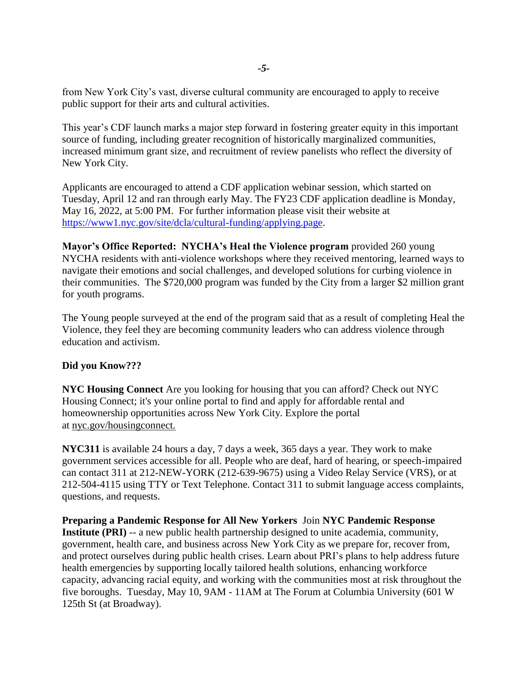from New York City's vast, diverse cultural community are encouraged to apply to receive public support for their arts and cultural activities.

This year's CDF launch marks a major step forward in fostering greater equity in this important source of funding, including greater recognition of historically marginalized communities, increased minimum grant size, and recruitment of review panelists who reflect the diversity of New York City.

Applicants are encouraged to attend a CDF application webinar session, which started on Tuesday, April 12 and ran through early May. The FY23 CDF application deadline is Monday, May 16, 2022, at 5:00 PM. For further information please visit their website at [https://www1.nyc.gov/site/dcla/cultural-funding/applying.page.](https://www1.nyc.gov/site/dcla/cultural-funding/applying.page)

**Mayor's Office Reported: NYCHA's Heal the Violence program** provided 260 young NYCHA residents with anti-violence workshops where they received mentoring, learned ways to navigate their emotions and social challenges, and developed solutions for curbing violence in their communities. The \$720,000 program was funded by the City from a larger \$2 million grant for youth programs.

The Young people surveyed at the end of the program said that as a result of completing Heal the Violence, they feel they are becoming community leaders who can address violence through education and activism.

# **Did you Know???**

**NYC Housing Connect** Are you looking for housing that you can afford? Check out NYC Housing Connect; it's your online portal to find and apply for affordable rental and homeownership opportunities across New York City. Explore the portal at [nyc.gov/housingconnect.](https://r20.rs6.net/tn.jsp?f=001WApH8GSurhNbkebXif5rLo3DjACH6tMM9h49hh0ktHCd6glMtbT1R9iDbwlkpyoaXzfxcP565YeD9yT8SXLFtDZDy5Sdx-hzjyFwwDa3b6TLcaB8PAPtvSLV9vBBXADW3tF3mzNbzcJC66E2oCJ0lLUgtUM0k2M0ctRjh6S4hH4=&c=4KVdzfIWnYTUR0vZc7WsfUbVRJRBn6hos1JsqiLOYcPTH4pOuUIVAg==&ch=rnKhilf67iNhJ4wNliYbhmLKthE_U5QAnQO3MqQ1qk-A8NyABmQ6gw==)

**NYC311** is available 24 hours a day, 7 days a week, 365 days a year. They work to make government services accessible for all. People who are deaf, hard of hearing, or speech-impaired can contact 311 at 212-NEW-YORK (212-639-9675) using a Video Relay Service (VRS), or at 212-504-4115 using TTY or Text Telephone. Contact 311 to submit language access complaints, questions, and requests.

**Preparing a Pandemic Response for All New Yorkers** Join **NYC Pandemic Response Institute (PRI)** -- a new public health partnership designed to unite academia, community, government, health care, and business across New York City as we prepare for, recover from, and protect ourselves during public health crises. Learn about PRI's plans to help address future health emergencies by supporting locally tailored health solutions, enhancing workforce capacity, advancing racial equity, and working with the communities most at risk throughout the five boroughs. Tuesday, May 10, 9AM - 11AM at The Forum at Columbia University (601 W 125th St (at Broadway).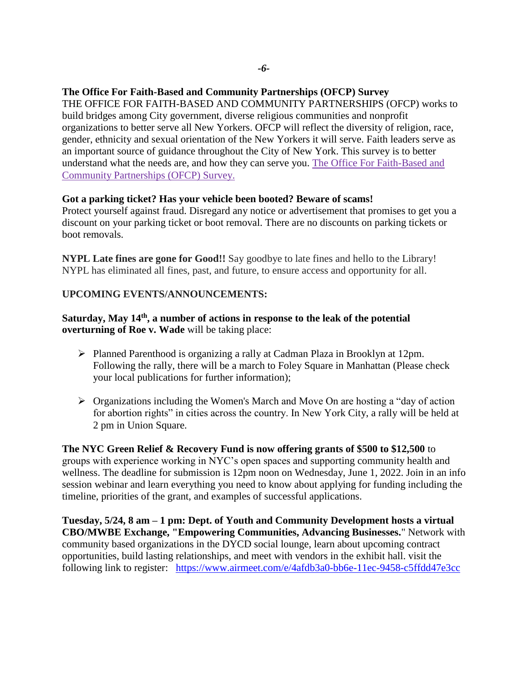## **The Office For Faith-Based and Community Partnerships (OFCP) Survey**

THE OFFICE FOR FAITH-BASED AND COMMUNITY PARTNERSHIPS (OFCP) works to build bridges among City government, diverse religious communities and nonprofit organizations to better serve all New Yorkers. OFCP will reflect the diversity of religion, race, gender, ethnicity and sexual orientation of the New Yorkers it will serve. Faith leaders serve as an important source of guidance throughout the City of New York. This survey is to better understand what the needs are, and how they can serve you. [The Office For Faith-Based and](https://click.everyaction.com/k/45014132/344082269/981206773?nvep=ew0KICAiVGVuYW50VXJpIjogIm5ncHZhbjovL3Zhbi9FQS9FQTAwNi8xLzg2OTc2IiwNCiAgIkRpc3RyaWJ1dGlvblVuaXF1ZUlkIjogIjU4MGU1NzlkLTgxY2QtZWMxMS05OTdlLTI4MTg3OGI4M2Q4YSIsDQogICJFbWFpbEFkZHJlc3MiOiAiZXByaW5jZUBjYjltLm9yZyINCn0%3D&hmac=MM2l3gk_TkLlEutD4OqOLvZKt5388nCzwiU5Ak-SNiE=&emci=25b10419-54ca-ec11-997e-281878b83d8a&emdi=580e579d-81cd-ec11-997e-281878b83d8a&ceid=4284574)  [Community Partnerships \(OFCP\) Survey.](https://click.everyaction.com/k/45014132/344082269/981206773?nvep=ew0KICAiVGVuYW50VXJpIjogIm5ncHZhbjovL3Zhbi9FQS9FQTAwNi8xLzg2OTc2IiwNCiAgIkRpc3RyaWJ1dGlvblVuaXF1ZUlkIjogIjU4MGU1NzlkLTgxY2QtZWMxMS05OTdlLTI4MTg3OGI4M2Q4YSIsDQogICJFbWFpbEFkZHJlc3MiOiAiZXByaW5jZUBjYjltLm9yZyINCn0%3D&hmac=MM2l3gk_TkLlEutD4OqOLvZKt5388nCzwiU5Ak-SNiE=&emci=25b10419-54ca-ec11-997e-281878b83d8a&emdi=580e579d-81cd-ec11-997e-281878b83d8a&ceid=4284574)

### **Got a parking ticket? Has your vehicle been booted? Beware of scams!**

Protect yourself against fraud. Disregard any notice or advertisement that promises to get you a discount on your parking ticket or boot removal. There are no discounts on parking tickets or boot removals.

**NYPL Late fines are gone for Good!!** Say goodbye to late fines and hello to the Library! NYPL has eliminated all fines, past, and future, to ensure access and opportunity for all.

#### **UPCOMING EVENTS/ANNOUNCEMENTS:**

## Saturday, May 14<sup>th</sup>, a number of actions in response to the leak of the potential **overturning of Roe v. Wade** will be taking place:

- Planned Parenthood is organizing a rally at Cadman Plaza in Brooklyn at 12pm. Following the rally, there will be a march to Foley Square in Manhattan (Please check your local publications for further information);
- $\triangleright$  Organizations including the Women's March and Move On are hosting a "day of action" for abortion rights" in cities across the country. In New York City, a rally will be held at 2 pm in Union Square.

**The NYC Green Relief & Recovery Fund is now offering grants of \$500 to \$12,500** to groups with experience working in NYC's open spaces and supporting community health and wellness. The deadline for submission is 12pm noon on Wednesday, June 1, 2022. Join in an info session webinar and learn everything you need to know about applying for funding including the timeline, priorities of the grant, and examples of successful applications.

**Tuesday, 5/24, 8 am – 1 pm: Dept. of Youth and Community Development hosts a virtual CBO/MWBE Exchange, ["Empowering Communities, Advancing Businesses.](https://nyc.us11.list-manage.com/track/click?u=bf27f3da34498cc55bd5e1da4&id=8c71b28c06&e=17cefa4866)**" Network with community based organizations in the DYCD social lounge, learn about upcoming contract opportunities, build lasting relationships, and meet with vendors in the exhibit hall. visit the following link to register: <https://www.airmeet.com/e/4afdb3a0-bb6e-11ec-9458-c5ffdd47e3cc>